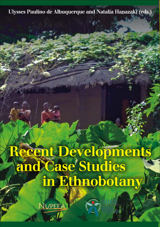# Ulysses Paulino de Albuquerque and Natalia Hanazaki (eds.)

# Récent Developments and Case Studies in Ethnobotany

**NUPEEA**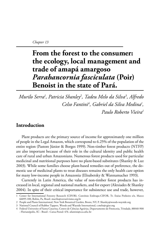# **From the forest to the consumer: the ecology, local management and trade of amapá amargoso**  *Parahancornia fasciculata* **(Poir) Benoist in the state of Pará.**

*Murilo Serra1 , Patricia Shanley2 , Tadeu Melo da Silva3 , Alfredo Celso Fantini4 , Gabriel da Silva Medina1 , Paulo Roberto Vieira1*

# **Introduction**

Plant products are the primary source of income for approximately one million of people in the Legal Amazon, which correspond to 6.25% of the population of the entire region (Pastore Júnior & Borges 1999). Non-timber forest products (NTFP) are also important because of their role in the cultural identity and public health care of rural and urban Amazonians. Numerous forest products used for particular medicinal and nutritional purposes have no plant-based substitutes (Shanley & Luz 2003). While some families choose plant-based remedies out of preference, the domestic use of medicinal plants to treat diseases remains the only health care option for many low-income people in Amazonia (Elisabetsky & Wannamacher 1993).

Currently in Latin America, the value of non-timber forest products has increased in local, regional and national markets, and for export (Alexiades & Shanley 2004). In spite of their critical importance for subsistence use and trade, however,

<sup>1</sup> Center for International Forestry Research (CIFOR). Convênio Embrapa-CIFOR, Tv. Enéas Pinheiro s/n, Marco 66095-100, Belém, Pa, Brasil. murilo@extrativismo.org.br

<sup>2</sup> People and Plants International, New York Botanical Garden, Bronx, NY, P. Shanley@woods-wayside.org

<sup>3</sup> National Council of Rubber Tappers, Woods and Wayside International, t.melo@cgiar.org

<sup>4</sup> Federal University of Santa Catarina, Centro de Ciências Agrárias, Departamento de Fitotecnia, Trindade, 88040-900 - Florianópolis, SC - Brasil - Caixa-Postal: 476. afantini@cca.ufsc.br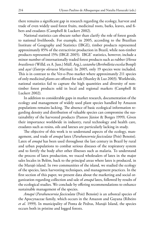there remains a significant gap in research regarding the ecology, harvest and trade of even widely used forest fruits, medicinal roots, barks, leaves, and fibers and exudates (Campbell & Luckert 2002).

National statistics can obscure rather than clarify the role of forest goods to national livelihoods. For example, in 2005, according to the Brazilian Institute of Geography and Statistics (IBGE), timber products represented approximately 85% of the extractivist production in Brazil, while non-timber products represented 15% (IBGE 2005). IBGE' statistics, however, include a minor number of internationally traded forest products such as rubber (*Hevea brasiliensis* (Willd. ex A. Juss.) Müll. Arg.), *castanha* (*Bertholletia excelsa* Bonpl) and *açaí* (*Euterpe oleracea* Martius). In 2005, only 19 species were included. This is in contrast to the Ver-o-Peso market where approximately 211 species of only medicinal plants are offered for sale (Shanley & Luz 2003). Worldwide, national statistics fail to capture the high quantities and diversity of nontimber forest products sold in local and regional markets (Campbell & Luckert 2002).

In addition to considerable gaps in market research, documentation of the ecology and management of widely used plant species handled by Amazon populations remains lacking. The absence of basic ecological information regarding density and distribution of valuable species can compromise the sustainability of the harvested products (Pastore Júnior & Borges 1999). Given their importance worldwide in industry, rural technology and health care, exudates such as resins, oils and latexes are particularly lacking in study.

The objective of this work is to understand aspects of the ecology, management, and trade of *amapá* latex (*Parahancornia fasciculata* (Poir) Benoist). Latex of *amapá* has been used throughout the last century in Brazil by rural and urban populations to combat serious diseases of the respiratory system and to fortify the body after other illnesses such as malaria. To understand the process of latex production, we traced wholesalers of latex in the major sales locales in Belém, back to the principal areas where latex is produced, in the Marajó island. In two communities of the island, we studied the ecology of the species, latex harvesting techniques, and management practices. In the first section of this paper, we present data about the marketing and social organization regarding collection and sale of *amapá* latex, followed by results of the ecological studies. We conclude by offering recommendations to enhance sustainable management of the species.

*Amapá* (*Parahancornia fasciculata* (Poir) Benoist) is an arboreal species of the Apocynaceae family, which occurs in the Amazon and Guyana (Ribeiro *et al*. 1999). In municipality of Ponta de Pedras, Marajó Island, the species occurs both in pristine and logged forests.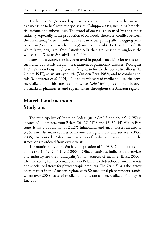The latex of *amapá* is used by urban and rural populations in the Amazon as a medicine to heal respiratory diseases (Galuppo 2004), including bronchitis, asthma and tuberculosis. The wood of *amapá* is also used by the timber industry, especially in the production of plywood. Therefore, conflict between the use of amapá tree as timber or latex can occur, principally in logging frontiers. *Amapá* tree can reach up to 35 meters in height (Le Cointe 1947). Its white latex, originates from laticifer cells that are present throughout the whole plant (Castro & Galvilanes 2000).

Latex of the *amapá* tree has been used in popular medicine for over a century, and is currently used in the treatment of pulmonary diseases (Rodrigues 1989; Van den Berg 1993) general fatigue, to fortify the body after illness (Le Cointe 1947), as an antisyphilitic (Van den Berg 1982), and to combat anemia (Montserrat *et al*. 2001). Due to its widespread medicinal use, the commercialization of this latex, also known as "*leite*" (milk), is common in open air markets, pharmacies, and supermarkets throughout the Amazon region.

# **Material and methods Study area**

The municipality of Ponta de Pedras (01º23'25" S and 48º52'16" W) is located 62 kilometers from Belém (01° 27' 21" S and 48° 30' 14" W), in Pará state. It has a population of 24.276 inhabitants and encompasses an area of 3.365 km2 . Its main sources of income are agriculture and services (IBGE 2006). In Ponta de Pedras, small volumes of medicinal plants are sold in the streets or are ordered from extractivists.

The municipality of Belém has a population of 1,408,847 inhabitants and an area of  $1.065$  Km<sup>2</sup> (IBGE 2006). Official statistics indicate that services and industry are the municipality's main sources of income (IBGE 2006). The marketing for medicinal plants in Belem is well-developed, with markets and specialized stores for phytotherapic products. The *Ver-o-Peso* is the largest open market in the Amazon region, with 80 medicinal plant vendors stands, where over 200 species of medicinal plants are commercialized (Shanley & Luz 2003).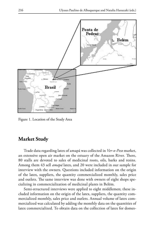

Figure 1. Location of the Study Area

#### **Market Study**

Trade data regarding latex of amapá was collected in *Ver-o-Peso* market, an extensive open air market on the estuary of the Amazon River. There, 80 stalls are devoted to sales of medicinal roots, oils, barks and resins. Among them 43 sell *amapá* latex, and 20 were included in our sample for interview with the owners. Questions included information on the origin of the latex, suppliers, the quantity commercialized monthly, sales price and outlets. The same interview was done with owners of eight shops specializing in commercialization of medicinal plants in Belém.

Semi-structured interviews were applied to eight middlemen; these included information on the origin of the latex, suppliers, the quantity commercialized monthly, sales price and outlets. Annual volume of latex commercialized was calculated by adding the monthly data on the quantities of latex commercialized. To obtain data on the collection of latex for domes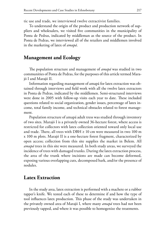tic use and trade, we interviewed twelve extractivist families.

To understand the origin of the product and production network of suppliers and wholesalers, we visited five communities in the municipality of Ponta de Pedras, indicated by middleman as the source of the product. In Ponta de Pedras, we interviewed all of the retailers and middlemen involved in the marketing of latex of *amapá*.

#### **Management and Ecology**

The population structure and management of *amapá* was studied in two communities of Ponta de Pedras, for the purposes of this article termed Marajó I and Marajó II.

Information regarding management of amapá for latex extraction was obtained through interviews and field work with all the twelve latex extractors in Ponta de Pedras, indicated by the middlemen. Semi-structured interviews were done in 2005 with follow-up visits each year to date. These included questions related to social organization, gender issues, percentage of latex income, total family income, and technical obstacles related to forest management.

Population structure of amapá adult tress was studied through inventory of two sites. Marajó I is a privately owned 36-hectare forest, where access is restricted for collectors with latex collection oriented toward only local use and trade. There, all trees with DBH  $\geq 10$  cm were measured in two 100 m x 100 m plots. Marajó II is a one-hectare forest fragment, characterized by open access; collection from this site supplies the market in Belem. All *amapá* trees in this site were measured. In both study areas, we surveyed the incidence of trees with damaged trunks. During the latex extraction process, the area of the trunk where incisions are made can become deformed, exposing various overlapping cuts, decomposed bark, and/or the presence of nodules.

## **Latex Extraction**

In the study area, latex extraction is performed with a machete or a rubber tapper's knife. We tested each of these to determine if and how the type of tool influences latex production. This phase of the study was undertaken in the privately owned area of Marajó I, where many *amapá* trees had not been previously tapped, and where it was possible to homogenize the treatments.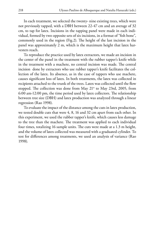In each treatment, we selected the twenty- nine existing trees, which were not previously tapped, with a DBH between 22-47 cm and an average of 32 cm, to tap for latex. Incisions in the tapping panel were made in each individual, formed by two opposite sets of six incisions, in a format of "fish bone", commonly used in the region (Fig.2). The height of the last incision in the panel was approximately 2 m, which is the maximum height that latex harvesters reach.

To reproduce the practice used by latex extractors, we made an incision in the center of the panel in the treatment with the rubber tapper's knife while in the treatment with a machete, no central incision was made. The central incision done by extractors who use rubber tapper's knife facilitates the collection of the latex. Its absence, as in the case of tappers who use machete, causes significant loss of latex. In both treatments, the latex was collected in recipients attached to the trunk of the trees. Latex was collected until the flow stopped. The collection was done from May 21<sup>st</sup> to May 23rd, 2005, from 6:00 am-12:00 pm, the time period used by latex collectors. The relationship between tree size (DBH) and latex production was analyzed through a linear regression (Rao 1998).

To evaluate the impact of the distance among the cuts in latex production, we tested double cuts that were 4, 8, 16 and 32 cm apart from each other. In this experiment, we used the rubber tapper's knife, which causes less damage to the tree than the machete. The treatment was applied to each individual four times, totalizing 16 sample units. The cuts were made at a 1.3 m height, and the volume of latex collected was measured with a graduated cylinder. To test for differences among treatments, we used an analysis of variance (Rao 1998).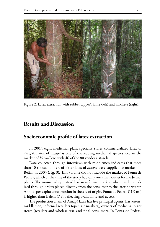

Figure 2. Latex extraction with rubber tapper's knife (left) and machete (right).

## **Results and Discussion**

#### **Socioeconomic profile of latex extraction**

In 2007, eight medicinal plant specialty stores commercialized latex of *amapá*. Latex of *amapá* is one of the leading medicinal species sold in the market of Ver-o-Peso with 46 of the 80 vendors' stands.

Data collected through interviews with middlemen indicates that more than 10 thousand liters of bitter latex of *amapá* were supplied to markets in Belém in 2005 (Fig. 3). This volume did not include the market of Ponta de Pedras, which at the time of the study had only one small outlet for medicinal plants. The municipality instead has an informal market, where trade is realized through orders placed directly from the consumer to the latex harvester. Annual per capita consumption in the site of origin, Ponta de Pedras (11.9 ml) is higher than Belem (7.5), reflecting availability and access.

The production chain of Amapá latex has five principal agents: harvesters, middlemen, informal retailers (open air markets), owners of medicinal plant stores (retailers and wholesalers), and final consumers. In Ponta de Pedras,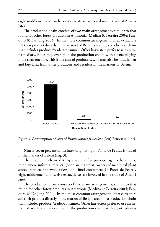eight middlemen and twelve extractivists are involved in the trade of Amapá latex.

The production chain consists of two main arrangements, similar to that found for other forest products in Amazonia (Medina & Ferreira 2004; Panduro & De Jong 2004). In the most common arrangement, latex extractors sell their product directly in the market of Belém, creating a production chain that includes producer/trader/consumer. Other harvesters prefer to use an intermediary. Roles may overlap in the production chain, with agents playing more than one role. This is the case of producers, who may also be middlemen and buy latex from other producers and retailers in the markets of Belém.



Figure 3. Consumption of latex of *Parahancornia fasciculata* (Poir) Benoist in 2005.

Ninety-seven percent of the latex originating in Ponta de Pedras is traded in the market of Belém (Fig. 3).

The production chain of Amapá latex has five principal agents: harvesters, middlemen, informal retailers (open air markets), owners of medicinal plant stores (retailers and wholesalers), and final consumers. In Ponta de Pedras, eight middlemen and twelve extractivists are involved in the trade of Amapá latex.

The production chain consists of two main arrangements, similar to that found for other forest products in Amazonia (Medina & Ferreira 2004; Panduro & De Jong 2004). In the most common arrangement, latex extractors sell their product directly in the market of Belém, creating a production chain that includes producer/trader/consumer. Other harvesters prefer to use an intermediary. Roles may overlap in the production chain, with agents playing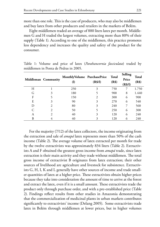more than one role. This is the case of producers, who may also be middlemen and buy latex from other producers and retailers in the markets of Belém.

Eight middlemen traded an average of 880 liters latex per month. Middlemen G and H traded the largest volumes, extracting more than 80% of their supply (Table 1). According to one of the middlemen, this practice promotes less dependency and increases the quality and safety of the product for the consumer.

|   | Middleman Community         | MonthlyVolume PurchasePrice<br>$\rm _{(l)}$ | (R\$/l) | <b>Total</b><br>(R\$) | Selling<br>Price<br>(R\$/l) | Total<br>(R\$) |
|---|-----------------------------|---------------------------------------------|---------|-----------------------|-----------------------------|----------------|
| H |                             | 250                                         | 3       | 750                   | 7                           | 1.750          |
| G | 3                           | 180                                         |         | 900                   | 8                           | 1.440          |
| F |                             | 150                                         | 2       | 300                   | 6                           | 900            |
| E | 3                           | 90                                          | 3       | 270                   | 6                           | 540            |
| D | $\mathfrak{D}$              | 80                                          | 3       | 240                   |                             | 560            |
|   | $\mathfrak{D}$              | 50                                          |         | 250                   | 6                           | 300            |
| А | $\mathcal{D}_{\mathcal{L}}$ | 40                                          | 3       | 120                   | 6                           | 240            |
| B |                             | 40                                          |         | 120                   | 6                           | 240            |

Table 1: Volume and price of latex (*Parahancornia fasciculata*) traded by middlemen in Ponta de Pedras in 2005.

For the majority (7/12) of the latex collectors, the income originating from the extraction and sale of *amapá* latex represents more than 50% of the cash income (Table 2). The average volume of latex extracted per month for trade by the twelve extractivists was approximately 834 liters (Table 2). Extractivists A and F obtained the greatest gross income from *amapá* trade, since latex extraction is their main activity and they trade without middlemen. The total gross income of extractivist B originates from latex extraction; their other sources of livelihood are agriculture and livestock for subsistence. Extractivists G, H, I, K and L generally have other sources of income and trade smaller quantities of latex at a higher price. These extractivists obtain higher prices because they take into consideration the amount of time to arrive at the forest and extract the latex, even if it is a small amount. These extractivists trade the product only through purchase order, and with a pre-established price (Table 2). Findings reflect results from other studies in Amazonia demonstrating that the commercialization of medicinal plants in urban markets contributes significantly to extractivists' income (Delang 2005). Some extractivists trade latex in Belém through middlemen at lower prices, but in higher volumes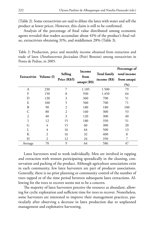(Table 2). Some extractivists are said to dilute the latex with water and sell the product at lower prices. However, this claim is still to be confirmed.

Analysis of the percentage of final value distributed among economic agents revealed that traders accumulate about 41% of the product's final value, extractivists obtaining 31%, and middlemen 28% (Table 3).

Table 2: Production, price and monthly income obtained from extraction and trade of latex (*Parahancornia fasciculata* (Poir) Benoist) among extractivists in Ponta de Pedras, in 2005.

| Extractivist Volume (l) |     | Selling<br>Price (R\$/l) | Income<br>from<br>amapá (R\$) | <b>Total family</b><br>income $(R$)$ | Percentage of<br>total income<br>from amapá<br>$(\%)$ |
|-------------------------|-----|--------------------------|-------------------------------|--------------------------------------|-------------------------------------------------------|
| А                       | 230 | 7                        | 1.185                         | 1.500                                | 79                                                    |
| F                       | 150 | 8                        | 930                           | 1.450                                | 64                                                    |
| D                       | 120 | 3                        | 360                           | 700                                  | 51                                                    |
| E                       | 100 | 5                        | 500                           | 700                                  | 71                                                    |
| B                       | 90  | 2                        | 180                           | 180                                  | 100                                                   |
| С                       | 80  | 2                        | 160                           | 300                                  | 53                                                    |
|                         | 40  | 3                        | 120                           | 300                                  | 40                                                    |
| I                       | 12  | 15                       | 180                           | 350                                  | 51                                                    |
| G                       | 4   | 15                       | 60                            | 300                                  | 20                                                    |
| L                       | 4   | 16                       | 64                            | 500                                  | 13                                                    |
| K                       | 2   | 16                       | 32                            | 400                                  | 8                                                     |
| H                       | 2   | 12                       | 24                            | 350                                  |                                                       |
| Average                 | 70  | 9                        | 64                            | 586                                  | 47                                                    |

Latex harvesters tend to work individually. Men are involved in tapping and extraction with women participating sporadically in the cleaning, conservation and packing of the product. Although agriculture associations exist in each community, few latex harvesters are part of producer associations. Generally, there is no prior planning or community control of the number of trees tapped or of the time period between subsequent latex extractions. Allowing for the trees to recover seems not to be a concern.

The majority of latex harvesters perceive the resource as abundant, allowing for cyclic exploration and sufficient time for trees to recover. Nonetheless, some harvesters are interested to improve their management practices, particularly after observing a decrease in latex production due to unplanned management and exploitative harvesting.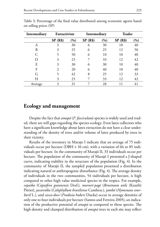| Intermediary | <b>Extractivists</b> |       | Intermediary |     | <b>Trader</b> |     |
|--------------|----------------------|-------|--------------|-----|---------------|-----|
|              | SP(R\$)              | (9/0) | SP(R\$)      | (%) | SP(R\$)       | (%) |
| А            | 3                    | 30    | 6            | 30  | 10            | 40  |
| B            | 3                    | 25    | 6            | 25  | 12            | 50  |
|              |                      | 50    | 6            | 10  | 10            | 40  |
| D            | 3                    | 25    |              | 33  | 12            | 42  |
| E            | 3                    | 30    | 6            | 30  | 10            | 40  |
| F            | $\mathfrak{D}$       | 20    | 6            | 40  | 10            | 40  |
| G            |                      | 42    | 8            | 25  | 12            | 33  |
| Н            | 3                    | 25    |              | 33  | 12            | 42  |
| Average      | 3                    | 31    |              | 28  |               | 41  |

Table 3: Percentage of the final value distributed among economic agents based on selling prices (SP)

#### **Ecology and management**

Despite the fact that *amapá* (*P. fasciculata*) species is widely used and traded, there are still gaps regarding the species ecology. Even latex collectors who have a significant knowledge about latex extraction do not have a clear understanding of the density of trees and/or volume of latex produced by trees in their vicinity.

Results of the inventory in Marajo I indicate that an average of 75 individuals occur per hectare (DBH  $\geq$  10 cm), with a variation of 66 to 85 individuals per hectare. In the community of Marajó II, 33 individuals occur per hectare. The population of the community of Marajó I presented a J-shaped curve, indicating stability in the structure of the population (Fig. 4). In the community of Marajó II, the sampled population presented a distribution indicating natural or anthropogenic disturbance (Fig. 4). The average density of individuals in the two communities, 54 individuals per hectare, is high compared to other high value medicinal species in the tropics. For example, *copaíba* (*Copaifera guianensis* Desf.), *mururé-pagé* (*Brosimum utile* (Kunth) Pittier), *jacareúba* (*Calophyllum brasiliense* Cambess.)*, jatobá* (*Hymenaea courbaril* L.), and *casca-doce* (*Pradosia huberi* Ducke) occur in average densities of only one to four individuals per hectare (Santos and Ferreira 2005), an indication of the productive potential of *amapá* as compared to these species. The high density and clumped distribution of *amapá* trees in each site may reflect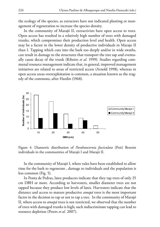the ecology of the species, as extractors have not indicated planting or management of regeneration to increase the species density.

In the community of Marajó II, extractivists have open access to trees. Open access has resulted in a relatively high number of trees with damaged trunks, which compromises their production level and health. Open access may be a factor in the lower density of productive individuals in Marajo II than I. Tapping which cuts into the bark too deeply and/or in wide swaths, can result in damage to the structures that transport the tree sap and eventually cause decay of the trunk (Ribeiro *et al*. 1999). Studies regarding communal resource management indicate that, in general, improved management initiatives are related to areas of restricted access (Arnold 1998), whereas in open access areas overexploitation is common, a situation known as the tragedy of the commons, after Hardin (1968).



Figure 4. Diametric distribution of *Parahancornia fasciculata* (Poir) Benoist individuals in the communities of Marajó I and Marajó II.

In the community of Marajó I, where rules have been established to allow time for the bark to regenerate , damage to individuals and the population is less common (Fig. 5).

In Ponta de Pedras, latex producers indicate that they tap trees of only 25 cm DBH or more. According to harvesters, smaller diameter trees are not tapped because they produce low levels of latex. Harvesters indicate that the distance and access to mature productive *amapá* trees is the most important factor in the decision to tap or not to tap a tree. In the community of Marajó II, where access to *amapá* trees is not restricted, we observed that the number of trees with damaged trunks is high; such indiscriminate tapping can lead to resource depletion (Peters *et al.* 2007).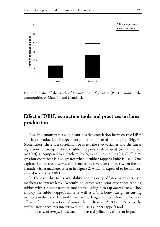

Figure 5. Status of the trunk of *Parahancornia fasciculata* (Poir) Benoist in the communities of Marajó I and Marajó II.

# **Effect of DBH, extraction tools and practices on latex production**

Results demonstrate a significant positive correlation between tree DBH and latex production, independently of the tool used for tapping (Fig. 6). Nonetheless, there is a correlation between the two variables and the linear regression is stronger when a rubber tapper's knife is used (n=28; t=6.26;  $p<0.001$ ) as compared to a machete (n=29; t=4,00;  $p<0.001$ ) (Fig. 6). The regression coefficient is also greater when a rubber tapper's knife is used. One explanation for the observed difference is the severe loss of latex when the cut is made with a machete, as seen in Figure 2, which is expected to be also correlated to the tree DBH.

In the past, due to its availability, the majority of latex harvesters used machetes to extract latex. Recently, collectors with prior experience tapping rubber with a rubber tapper's tool started using it to tap *amapá* trees. They employ the rubber tapper's knife as well as a "fish bone" design in cutting incisions in the bark. The tool as well as the design has been shown to be more efficient for the extraction of *amapá* latex (Reis *et al*. 2006). Among the twelve latex harvesters interviewed, ten use a rubber tapper's tool.

In the case of *amapá* latex, each tool has a significantly different impact on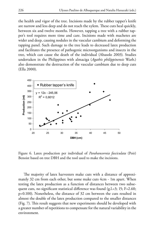the health and vigor of the tree. Incisions made by the rubber tapper's knife are narrow and less deep and do not reach the xylem. These cuts heal quickly, between six and twelve months. However, tapping a tree with a rubber tapper's tool requires more time and care. Incisions made with machetes are wider and deep, causing nodules in the vascular cambium and deforming the tapping panel. Such damage to the tree leads to decreased latex production and facilitates the presence of pathogenic microorganisms and insects in the tree, which can cause the death of the individual (Abasolo 2003). Studies undertaken in the Philippines with almaciga (*Agathis philippinensis* Warb.) also demonstrate the destruction of the vascular cambium due to deep cuts (Ella 2000).



Figure 6. Latex production per individual of *Parahancornia fasciculata* (Poir) Benoist based on tree DBH and the tool used to make the incisions.

The majority of latex harvesters make cuts with a distance of approximately 32 cm from each other, but some make cuts 4cm - 1m apart. When testing the latex production as a function of distances between two subsequent cuts, no significant statistical difference was found (g.l.=3; 15; F=2.60; p=0.100). Nonetheless, the distance of 32 cm between the cuts resulted in almost the double of the latex production compared to the smaller distances (Fig. 7). This result suggests that new experiments should be developed with a greater number of repetitions to compensate for the natural variability in the environment.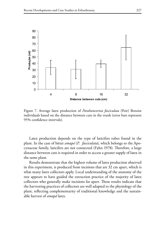

Figure 7. Average latex production of *Parahancornia fasciculata* (Poir) Benoist individuals based on the distance between cuts in the trunk (error bars represent 95% confidence intervals).

Latex production depends on the type of laticifers tubes found in the plant. In the case of bitter *amapá* (*P. fasciculata*), which belongs to the Apocynaceae family, laticifers are not connected (Fahn 1978). Therefore, a large distance between cuts is required in order to access a greater supply of latex in the same plant.

Results demonstrate that the highest volume of latex production observed in this experiment, is produced from incisions that are 32 cm apart, which is what many latex collectors apply. Local understanding of the anatomy of the tree appears to have guided the extraction practice of the majority of latex collectors who generally make incisions far apart. These results indicate that the harvesting practices of collectors are well adapted to the physiology of the plant, reflecting complementarity of traditional knowledge and the sustainable harvest of *amapá* latex.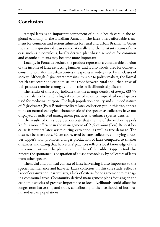#### **Conclusion**

Amapá latex is an important component of public health care in the regional economy of the Brazilian Amazon. The latex offers affordable treatment for common and serious ailments for rural and urban Brazilians. Given the rise in respiratory diseases internationally and the resistant strains of disease such as tuberculosis, locally derived plant-based remedies for common and chronic ailments may become more important.

Locally, in Ponta de Pedras, the product represents a considerable portion of the income of latex extracting families, and is also widely used for domestic consumption. Within urban centers the species is widely used by all classes of society. Although *P. fasciculata* remains invisible to policy makers, the formal health care sector and economists, the trade between rural and urban areas of this product remains strong as and its role in livelihoods significant.

The results of this study indicate that the average density of *amapá* (33-75 individuals per hectare) is high if compared to other tropical arboreal species used for medicinal purpose. The high population density and clumped nature of *P. fasciculata* (Poir) Benoist facilitate latex collection yet, in this site, appear to be an natural ecological characteristic of the species as collectors have not displayed or indicated management practices to enhance species density.

The results of this study demonstrate that the use of the rubber tapper's knife is more efficient in the management of *P. fasciculata* (Poir) Benoist because it prevents latex waste during extraction, as well as tree damage. The distance between cuts, 32 cm apart, used by latex collectors employing a rubber tapper's tool, promotes a larger production of latex compared to smaller distances, indicating that harvesters' practices reflect a local knowledge of the tree coincident with the plant anatomy. Use of the rubber tapper's tool also reflects the spontaneous adaptation of a used technology by collectors of latex from other species.

The social and political context of latex harvesting is also important to the species maintenance and harvest. Latex collectors, in this case study, reflect a lack of organization, particularly, a lack of criteria for or agreement to managing communal areas. Community derived management plans focusing on the economic species of greatest importance to local livelihoods could allow for longer term harvesting and trade, contributing to the livelihoods of both rural and urban populations.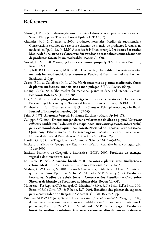#### **References**

- Abasolo, E.P. 2003. Evaluating the sustainability of almaciga resin production practices in Samar, Philippines. **Tropical Forest Update ITTO 13**(3).
- Alexiades, M.N & Shanley, P. 2004. Productos Forestales, Medios de Subsistencia y Conservación: estudios de caso sobre sistemas de manejo de productos forestales no maderables. Pp. 01-22. In: M.N. Alexiades & P. Shanley (org.). **Productos Forestales, Medios de Subsistencia y Conservación: estudios de caso sobre sistemas de manejo de productos forestales no maderables**. Bogor: CIFOR.
- Arnold, J.E.M. 1998. **Managing forests as common property**. (FAO Forestry Parer 136) Rome: FAO.
- Campbell, B.M & Luckert, M.K. 2002. **Uncovering the hidden harvest: valuation methods for woodland & forest resources.** People and Plants International. London: Earthscan. 240pp.
- Castro, E.M. & Galvilanes, M.L. 2000. **Morfoanatomia de plantas medicinais. Curso de plantas medicinais: manejo, uso e manipulação**. UFLA. Lavras. 163pp.
- Delang. C. O. 2005. The market for medicinal plants in Sapa and Hanoi, Vietnam. **Economic Botany 59**(4): 377–385.
- Ella, A. 2000. **Improved tapping of almaciga tree for sustained resin yield. In: Seminar Proceedings Harvesting of Non-wood Forest Products**. Turkey, FAO/ECE/ILO.
- Elisabetsky, E. & L. Wannamacher. 1993. The Status of Ethnopharmacology in Brazil. **Journal of Ethnopharmacology 38**: 137-143.
- Fahn, A. 1978. **Anatomia Vegetal**. H. Blume Ediciones. Madri. Pp 169-178.
- Galuppo, S.C. 2004. **Documentação do uso e valorização do óleo de piquiá (***Caryocar villosum* **(Aubl) Pers.) e do leite do amapá-doce (***Brosimum parinarioides* **Ducke) para a comunidade de Piquiatuba, Floresta Nacional do Tapajós. Estudos Físicos, Químicos, Fitoquímicos e Farmacológicos**. Master Science Dissertation. Universidade Federal Rural da Amazônia – UFRA. Belém. 92pp.
- Hardin, G. 1968. The Tragedy of the Commons. **Science 162**: 1243-1248.
- Instituto Brasileiro de Geografia e Estatisitica (IBGE). Available in: www.ibge.org.br. 15 ago 2006.
- Instituto Brasileiro de Geografia e Estatisitica (IBGE). 2005. **Produção da extração vegetal e da silvicultura**. Brasil.
- Le Cointe, P. 1947. **Amazônia brasileira III. Árvores e plantas úteis (indígenas e aclimatadas)**. Pp. 27-28. Companhia Editora Nacional. São Paulo. 2ª.
- Medina, G. & Ferreira, S. 2004. Bacuri (*Platonia insignis* Martius): O Fruto Amazônico que Virou Ouro. Pp. 201-216. In: M. Alexiades & P. Shanley (org.). **Productos Forestales, Médios de Subsistência y Conservación: Estudios de Caso sobre Sistemas de Manejo de Productos no Maderables**. Bogor: CIFOR.
- Montserrat, R.; Regina, C.V.; Sabogal, C.; Martins, J.; Silva, R.N.; Brito, R.R.; Brito, I.M.; Brito, M.F.C.; Silva, J.R. & Ribeiro, R.T. 2001. **Benefício das plantas da capoeira para a comunidade de Benjamin Constant**. CIFOR, Belém, 54pp.
- Panduro, M.P. & De Jong, W. 2004. Camu-camu [*Myrciaria dubia* McVaugh (H.B.K)] desmarque arbusto amazonico de áreas inundables com Alto contenido de vitamina C pt Loreto, Peru**.** Pp. 275-294. In: M. Alexiades & P. Shanley (orgs.). **Productos forestales, medios de subsistencia y conservacion: estudios de caso sobre sistemas**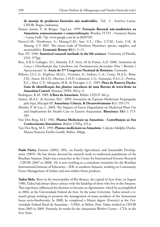**de manejo de productos forestales não maderables***.* Vol. 3 - América Latina. CIFOR, Bogor, Indonésia.

- Pastore Junior, F. & Borges, Vag-Lan. 1999. **Extração florestal não-madeireira na Amazônia: armazenamento e comercialização.** Brasília, ITTO – Funatura Ibama – Lateq-UnB, 73p. www.google.com.br in 06/07/05.
- Peters,C.M.; Henderson, A.; Maung,U.M.; Saw, U.L.; Ohn, U.T.M.; Lwin, U.K. & Shaung, U.T 2007. The rattan trade of Northern Myanmar: species, supplies, and sustainability. **Economic Botany 61**(1): 3–13.
- Rao, P.V. 1998. **Statistical research methods in the life sciences**. University of Florida, USA. 275pp.
- Reis, A.R.S; Galuppo, S.C; Almeida, E.F; Serra, M & Freitas, A.D. 2006. Anatomia da Casca e Distribuição dos Laticíferos em *Parahancornia fasciculata* (Poir ) Benoist ( Apocynaceae). In: **Anais do 57º Congresso Nacional de Botânica**, Gramado.
- Ribeiro, J.E.L.S.; Hopkins, M.J.G.; Vicentini, A.; Sothers, C.A.; Costa, M.A.S.; Brito, J.M.; Souza, M.A.D.; Martins, L.H.P.; Lohmann, L.G.; Assunção, P.A.C.L.; Pereira, E.C.; Silva, C.F.; Mesquita, M.R. & Procópio, L.C. 1999. **Flora da Reserva Ducke: Guia de identificação das plantas vasculares de uma floresta de terra-firme na Amazônia Central**. Manaus: INPA. 816 p. il.

Rodrigues, R.M. 1989. **A flora da Amazônia**. Belém: CEJUP. 462 p.

- Santos, M.A.C. & Ferreira, M.C. 2005. Inventário de Espécies Medicinais Empregadas pelo Iepa, Macapá-AP. **Amazônia: Ciência. & Desenvolvimento 1**(1): 159-179.
- Shanley, P. & Luz, L. 2003. The Impacts of Forest Degradation on Medicinal Plant Use and Implications for Health Care in Eastern Amazonian. **Bioscience 53**(6 ): 573- 583.
- Van Den Berg, M.E. 1982. **Plantas Medicinais na Amazônia Contribuição ao Seu Conhecimento Sistemático**. Belém: CNPq, 223 p.
- Van Den Berg, M.E. 1993. **Plantas medicinais na Amazônia**. Coleção Adolpho Ducke. Museu Paraense Emílio Goeldi. Belém. 206pp.

**Paulo Vieira.** Forester (2002), MSc. on Family Agricultures and Sustainable Development (2005). He has always devoted his research work to traditional populations of the Brazilian Amazon. Paulo was a researcher at the Center for International Forestry Research - CIFOR (2007 to 2008). He is now working as a consultant researcher for the Brazilian International Institute of Education – IEB, in southern Amazon, working on Community Forest Management of timber and non-timber forest products.

**Tadeu Melo**. Born in the municipality of Rio Branco, the capital of Acre State, in August 1980, Tadeu had always direct contact with the hardship of those who live in the Amazon. This experience influenced his decision to become an Agronomist, which he accomplished in 2004, at the Universidade Federal do Acre. In the same University, Tadeu joined a research group working to promote the management of many products of the Amazonian forest socio-biodiversity. In 2008, he completed a Master degree (Forestry) at the Universidade Federal Rural da Amazônia – UFRA, in Belém, Pará. Tadeu worked at CIFOR from 2005 to 2009. Presently, he works for the *Amazonian Workers* Center – CTA, in the Acre State.